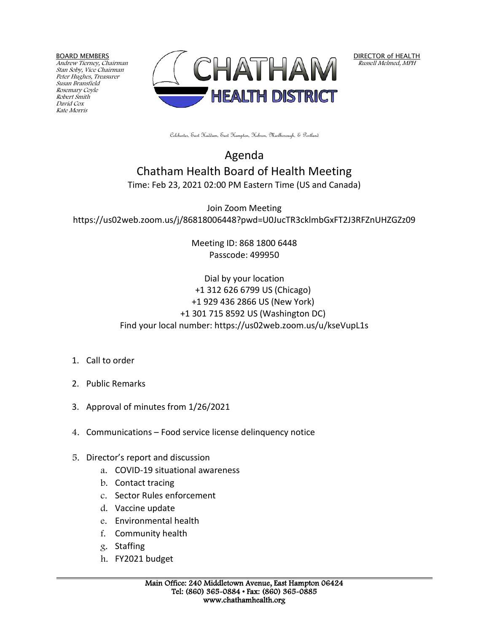BOARD MEMBERS

Andrew Tierney, Chairman Stan Soby, Vice Chairman Peter Hughes, Treasurer Susan Bransfield Rosemary Coyle Robert Smith David Cox Kate Morris



DIRECTOR of HEALTH Russell Melmed, MPH

Colchester, East Haddam, East Hampton, Hebron, Marlborough, & Portland

## Agenda Chatham Health Board of Health Meeting Time: Feb 23, 2021 02:00 PM Eastern Time (US and Canada)

Join Zoom Meeting https://us02web.zoom.us/j/86818006448?pwd=U0JucTR3cklmbGxFT2J3RFZnUHZGZz09

> Meeting ID: 868 1800 6448 Passcode: 499950

## Dial by your location +1 312 626 6799 US (Chicago) +1 929 436 2866 US (New York) +1 301 715 8592 US (Washington DC) Find your local number: https://us02web.zoom.us/u/kseVupL1s

- 1. Call to order
- 2. Public Remarks
- 3. Approval of minutes from 1/26/2021
- 4. Communications Food service license delinquency notice
- 5. Director's report and discussion
	- a. COVID-19 situational awareness
	- b. Contact tracing
	- c. Sector Rules enforcement
	- d. Vaccine update
	- e. Environmental health
	- f. Community health
	- g. Staffing
	- h. FY2021 budget